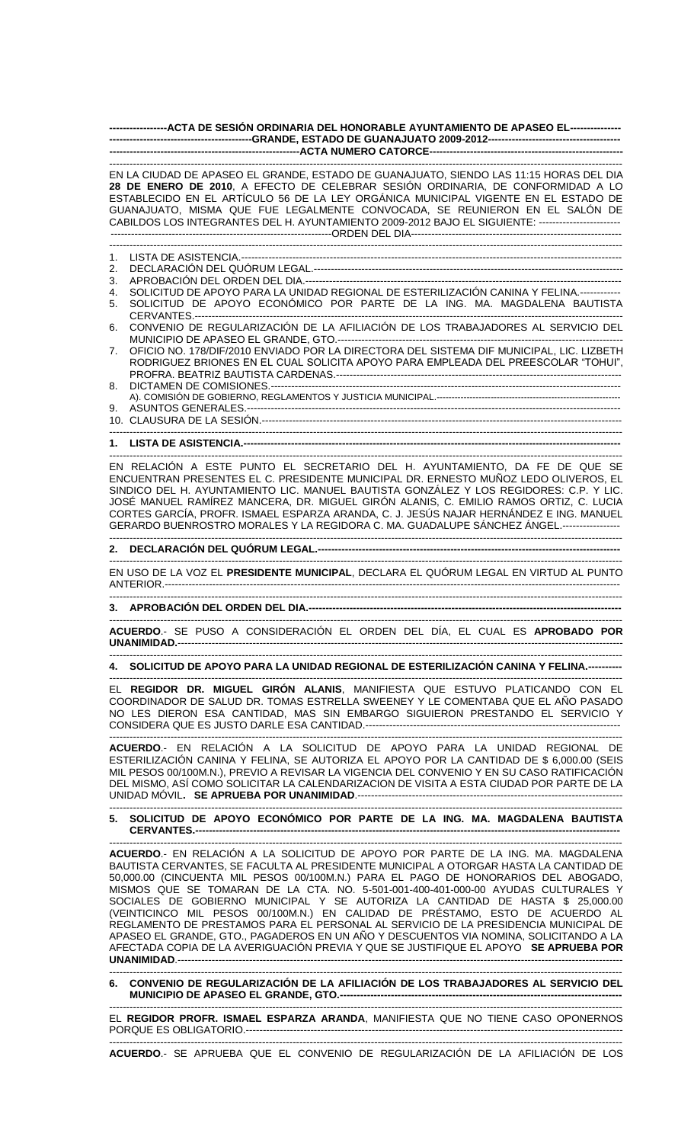| -----------------ACTA DE SESIÓN ORDINARIA DEL HONORABLE AYUNTAMIENTO DE APASEO EL---------------- |
|---------------------------------------------------------------------------------------------------|
|                                                                                                   |
| EN LA CIUDAD DE APASEO EL GRANDE, ESTADO DE GUANAJUATO, SIENDO LAS 11:15 HORAS DEL DIA            |

**28 DE ENERO DE 2010**, A EFECTO DE CELEBRAR SESIÓN ORDINARIA, DE CONFORMIDAD A LO ESTABLECIDO EN EL ARTÍCULO 56 DE LA LEY ORGÁNICA MUNICIPAL VIGENTE EN EL ESTADO DE GUANAJUATO, MISMA QUE FUE LEGALMENTE CONVOCADA, SE REUNIERON EN EL SALÓN DE CABILDOS LOS INTEGRANTES DEL H. AYUNTAMIENTO 2009-2012 BAJO EL SIGUIENTE: ------------------------ -----------------------------------------------------------------ORDEN DEL DIA-------------------------------------------------------------- ------------------------------------------------------------------------------------------------------------------------------------------------------- 1. LISTA DE ASISTENCIA.----------------------------------------------------------------------------------------------------------------

2. DECLARACIÓN DEL QUÓRUM LEGAL.-------------------------------------------------------------------------------------------

- 3. APROBACIÓN DEL ORDEN DEL DIA.---------------------------------------------------------------------------------------------
- 4. SOLICITUD DE APOYO PARA LA UNIDAD REGIONAL DE ESTERILIZACIÓN CANINA Y FELINA.------------
- 5. SOLICITUD DE APOYO ECONÓMICO POR PARTE DE LA ING. MA. MAGDALENA BAUTISTA
- CERVANTES.-6. CONVENIO DE REGULARIZACIÓN DE LA AFILIACIÓN DE LOS TRABAJADORES AL SERVICIO DEL
- MUNICIPIO DE APASEO EL GRANDE, GTO.-------7. OFICIO NO. 178/DIF/2010 ENVIADO POR LA DIRECTORA DEL SISTEMA DIF MUNICIPAL, LIC. LIZBETH RODRIGUEZ BRIONES EN EL CUAL SOLICITA APOYO PARA EMPLEADA DEL PREESCOLAR "TOHUI", PROFRA. BEATRIZ BAUTISTA CARDENAS.------------------------------------------------------------------------------------
- 8. DICTAMEN DE COMISIONES.------------------------------------------------------------------------------------------------------- A). COMISIÓN DE GOBIERNO, REGLAMENTOS Y JUSTICIA MUNICIPAL.------------------------------------------------------------- 9. ASUNTOS GENERALES.-------------------------------------------------------------------------------------------------------------- 10. CLAUSURA DE LA SESIÓN.----------------------------------------------------------------------------------------------------------

-------------------------------------------------------------------------------------------------------------------------------------------------------

-------------------------------------------------------------------------------------------------------------------------------------------------------

-------------------------------------------------------------------------------------------------------------------------------------------------------

## **1. LISTA DE ASISTENCIA.---------------------------------------------------------------------------------------------------------------**

EN RELACIÓN A ESTE PUNTO EL SECRETARIO DEL H. AYUNTAMIENTO, DA FE DE QUE SE ENCUENTRAN PRESENTES EL C. PRESIDENTE MUNICIPAL DR. ERNESTO MUÑOZ LEDO OLIVEROS, EL SINDICO DEL H. AYUNTAMIENTO LIC. MANUEL BAUTISTA GONZÁLEZ Y LOS REGIDORES: C.P. Y LIC. JOSÉ MANUEL RAMÍREZ MANCERA, DR. MIGUEL GIRÓN ALANIS, C. EMILIO RAMOS ORTIZ, C. LUCIA CORTES GARCÍA, PROFR. ISMAEL ESPARZA ARANDA, C. J. JESÚS NAJAR HERNÁNDEZ E ING. MANUEL GERARDO BUENROSTRO MORALES Y LA REGIDORA C. MA. GUADALUPE SÁNCHEZ ÁNGEL.----------------- -------------------------------------------------------------------------------------------------------------------------------------------------------

## **2. DECLARACIÓN DEL QUÓRUM LEGAL.-----------------------------------------------------------------------------------------**

------------------------------------------------------------------------------------------------------------------------------------------------------- EN USO DE LA VOZ EL **PRESIDENTE MUNICIPAL**, DECLARA EL QUÓRUM LEGAL EN VIRTUD AL PUNTO ANTERIOR.--------------------------------------------------------------------------------------------------------------------------------------

## **3. APROBACIÓN DEL ORDEN DEL DIA.--------------------------------------------------------------------------------------------**

------------------------------------------------------------------------------------------------------------------------------------------------------- **ACUERDO**.- SE PUSO A CONSIDERACIÓN EL ORDEN DEL DÍA, EL CUAL ES **APROBADO POR UNANIMIDAD.**-----------------------------------------------------------------------------------------------------------------------------------

------------------------------------------------------------------------------------------------------------------------------------------------------- **4. SOLICITUD DE APOYO PARA LA UNIDAD REGIONAL DE ESTERILIZACIÓN CANINA Y FELINA.----------**

------------------------------------------------------------------------------------------------------------------------------------------------------- EL **REGIDOR DR. MIGUEL GIRÓN ALANIS**, MANIFIESTA QUE ESTUVO PLATICANDO CON EL COORDINADOR DE SALUD DR. TOMAS ESTRELLA SWEENEY Y LE COMENTABA QUE EL AÑO PASADO NO LES DIERON ESA CANTIDAD, MAS SIN EMBARGO SIGUIERON PRESTANDO EL SERVICIO Y CONSIDERA QUE ES JUSTO DARLE ESA CANTIDAD.---------------------------------------------------------------------------

------------------------------------------------------------------------------------------------------------------------------------------------------- **ACUERDO**.- EN RELACIÓN A LA SOLICITUD DE APOYO PARA LA UNIDAD REGIONAL DE ESTERILIZACIÓN CANINA Y FELINA, SE AUTORIZA EL APOYO POR LA CANTIDAD DE \$ 6,000.00 (SEIS MIL PESOS 00/100M.N.), PREVIO A REVISAR LA VIGENCIA DEL CONVENIO Y EN SU CASO RATIFICACIÓN DEL MISMO, ASÍ COMO SOLICITAR LA CALENDARIZACION DE VISITA A ESTA CIUDAD POR PARTE DE LA UNIDAD MÓVIL. SE APRUEBA POR UNANIMIDAD.---

## ------------------------------------------------------------------------------------------------------------------------------------------------------- **5. SOLICITUD DE APOYO ECONÓMICO POR PARTE DE LA ING. MA. MAGDALENA BAUTISTA CERVANTES.-----------------------------------------------------------------------------------------------------------------------------**

------------------------------------------------------------------------------------------------------------------------------------------------------- **ACUERDO**.- EN RELACIÓN A LA SOLICITUD DE APOYO POR PARTE DE LA ING. MA. MAGDALENA BAUTISTA CERVANTES, SE FACULTA AL PRESIDENTE MUNICIPAL A OTORGAR HASTA LA CANTIDAD DE 50,000.00 (CINCUENTA MIL PESOS 00/100M.N.) PARA EL PAGO DE HONORARIOS DEL ABOGADO, MISMOS QUE SE TOMARAN DE LA CTA. NO. 5-501-001-400-401-000-00 AYUDAS CULTURALES Y SOCIALES DE GOBIERNO MUNICIPAL Y SE AUTORIZA LA CANTIDAD DE HASTA \$ 25,000.00 (VEINTICINCO MIL PESOS 00/100M.N.) EN CALIDAD DE PRÉSTAMO, ESTO DE ACUERDO AL REGLAMENTO DE PRESTAMOS PARA EL PERSONAL AL SERVICIO DE LA PRESIDENCIA MUNICIPAL DE APASEO EL GRANDE, GTO., PAGADEROS EN UN AÑO Y DESCUENTOS VIA NOMINA, SOLICITANDO A LA AFECTADA COPIA DE LA AVERIGUACIÓN PREVIA Y QUE SE JUSTIFIQUE EL APOYO **SE APRUEBA POR UNANIMIDAD**.-----------------------------------------------------------------------------------------------------------------------------------

------------------------------------------------------------------------------------------------------------------------------------------------------- **6. CONVENIO DE REGULARIZACIÓN DE LA AFILIACIÓN DE LOS TRABAJADORES AL SERVICIO DEL MUNICIPIO DE APASEO EL GRANDE, GTO.-----------------------**

------------------------------------------------------------------------------------------------------------------------------------------------------- EL **REGIDOR PROFR. ISMAEL ESPARZA ARANDA**, MANIFIESTA QUE NO TIENE CASO OPONERNOS PORQUE ES OBLIGATORIO.--------------------------------------------------------------------------------------------------------------- -------------------------------------------------------------------------------------------------------------------------------------------------------

**ACUERDO**.- SE APRUEBA QUE EL CONVENIO DE REGULARIZACIÓN DE LA AFILIACIÓN DE LOS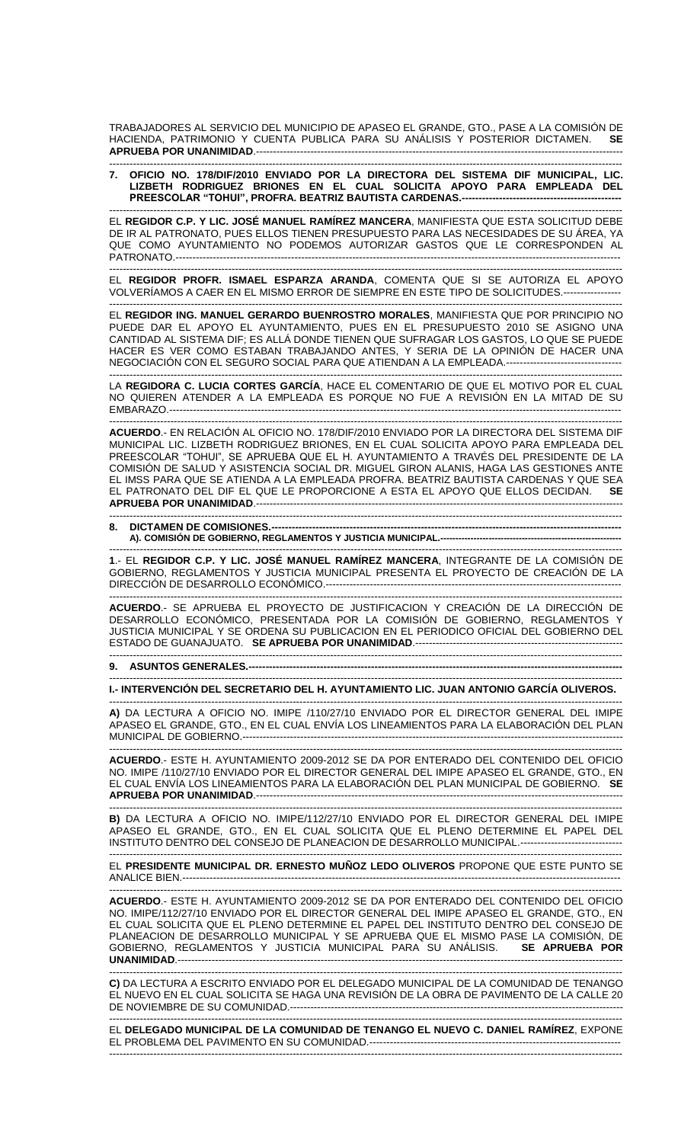TRABAJADORES AL SERVICIO DEL MUNICIPIO DE APASEO EL GRANDE, GTO., PASE A LA COMISIÓN DE HACIENDA, PATRIMONIO Y CUENTA PUBLICA PARA SU ANÁLISIS Y POSTERIOR DICTAMEN. **SE APRUEBA POR UNANIMIDAD**.------------------------------------------------------------------------------------------------------------

------------------------------------------------------------------------------------------------------------------------------------------------------- **7. OFICIO NO. 178/DIF/2010 ENVIADO POR LA DIRECTORA DEL SISTEMA DIF MUNICIPAL, LIC. LIZBETH RODRIGUEZ BRIONES EN EL CUAL SOLICITA APOYO PARA EMPLEADA DEL PREESCOLAR "TOHUI", PROFRA. BEATRIZ BAUTISTA CARDENAS.-----------------------------------------------**

------------------------------------------------------------------------------------------------------------------------------------------------------- EL **REGIDOR C.P. Y LIC. JOSÉ MANUEL RAMÍREZ MANCERA**, MANIFIESTA QUE ESTA SOLICITUD DEBE DE IR AL PATRONATO, PUES ELLOS TIENEN PRESUPUESTO PARA LAS NECESIDADES DE SU ÁREA, YA QUE COMO AYUNTAMIENTO NO PODEMOS AUTORIZAR GASTOS QUE LE CORRESPONDEN AL PATRONATO.-----------------------------------------------------------------------------------------------------------------------------------

------------------------------------------------------------------------------------------------------------------------------------------------------- EL **REGIDOR PROFR. ISMAEL ESPARZA ARANDA**, COMENTA QUE SI SE AUTORIZA EL APOYO VOLVERÍAMOS A CAER EN EL MISMO ERROR DE SIEMPRE EN ESTE TIPO DE SOLICITUDES.-----------------

------------------------------------------------------------------------------------------------------------------------------------------------------- EL **REGIDOR ING. MANUEL GERARDO BUENROSTRO MORALES**, MANIFIESTA QUE POR PRINCIPIO NO PUEDE DAR EL APOYO EL AYUNTAMIENTO, PUES EN EL PRESUPUESTO 2010 SE ASIGNO UNA CANTIDAD AL SISTEMA DIF; ES ALLÁ DONDE TIENEN QUE SUFRAGAR LOS GASTOS, LO QUE SE PUEDE HACER ES VER COMO ESTABAN TRABAJANDO ANTES, Y SERIA DE LA OPINIÓN DE HACER UNA NEGOCIACIÓN CON EL SEGURO SOCIAL PARA QUE ATIENDAN A LA EMPLEADA.----------------------------------

------------------------------------------------------------------------------------------------------------------------------------------------------- LA **REGIDORA C. LUCIA CORTES GARCÍA**, HACE EL COMENTARIO DE QUE EL MOTIVO POR EL CUAL NO QUIEREN ATENDER A LA EMPLEADA ES PORQUE NO FUE A REVISIÓN EN LA MITAD DE SU EMBARAZO.-------------------------------------------------------------------------------------------------------------------------------------

------------------------------------------------------------------------------------------------------------------------------------------------------- **ACUERDO**.- EN RELACIÓN AL OFICIO NO. 178/DIF/2010 ENVIADO POR LA DIRECTORA DEL SISTEMA DIF MUNICIPAL LIC. LIZBETH RODRIGUEZ BRIONES, EN EL CUAL SOLICITA APOYO PARA EMPLEADA DEL PREESCOLAR "TOHUI", SE APRUEBA QUE EL H. AYUNTAMIENTO A TRAVÉS DEL PRESIDENTE DE LA COMISIÓN DE SALUD Y ASISTENCIA SOCIAL DR. MIGUEL GIRON ALANIS, HAGA LAS GESTIONES ANTE EL IMSS PARA QUE SE ATIENDA A LA EMPLEADA PROFRA. BEATRIZ BAUTISTA CARDENAS Y QUE SEA EL PATRONATO DEL DIF EL QUE LE PROPORCIONE A ESTA EL APOYO QUE ELLOS DECIDAN. **SE APRUEBA POR UNANIMIDAD**.------------------------------------------------------------------------------------------------------------ -------------------------------------------------------------------------------------------------------------------------------------------------------

8. DICTAMEN DE COMISIONES.-A). COMISIÓN DE GOBIERNO, REGLAMENTOS Y JUSTICIA MUNICIPAL.----

------------------------------------------------------------------------------------------------------------------------------------------------------- **1**.- EL **REGIDOR C.P. Y LIC. JOSÉ MANUEL RAMÍREZ MANCERA**, INTEGRANTE DE LA COMISIÓN DE GOBIERNO, REGLAMENTOS Y JUSTICIA MUNICIPAL PRESENTA EL PROYECTO DE CREACIÓN DE LA DIRECCIÓN DE DESARROLLO ECONÓMICO.---------------------------------------------------------------------------------------

------------------------------------------------------------------------------------------------------------------------------------------------------- **ACUERDO**.- SE APRUEBA EL PROYECTO DE JUSTIFICACION Y CREACIÓN DE LA DIRECCIÓN DE DESARROLLO ECONÓMICO, PRESENTADA POR LA COMISIÓN DE GOBIERNO, REGLAMENTOS Y JUSTICIA MUNICIPAL Y SE ORDENA SU PUBLICACION EN EL PERIODICO OFICIAL DEL GOBIERNO DEL ESTADO DE GUANAJUATO. **SE APRUEBA POR UNANIMIDAD**.------------------------------------------------------------- -------------------------------------------------------------------------------------------------------------------------------------------------------

**9. ASUNTOS GENERALES.---**

------------------------------------------------------------------------------------------------------------------------------------------------------- **I.- INTERVENCIÓN DEL SECRETARIO DEL H. AYUNTAMIENTO LIC. JUAN ANTONIO GARCÍA OLIVEROS.**

------------------------------------------------------------------------------------------------------------------------------------------------------- **A)** DA LECTURA A OFICIO NO. IMIPE /110/27/10 ENVIADO POR EL DIRECTOR GENERAL DEL IMIPE APASEO EL GRANDE, GTO., EN EL CUAL ENVÍA LOS LINEAMIENTOS PARA LA ELABORACIÓN DEL PLAN MUNICIPAL DE GOBIERNO.----------------------------------------------------------------------------------------------------------------

------------------------------------------------------------------------------------------------------------------------------------------------------- **ACUERDO**.- ESTE H. AYUNTAMIENTO 2009-2012 SE DA POR ENTERADO DEL CONTENIDO DEL OFICIO NO. IMIPE /110/27/10 ENVIADO POR EL DIRECTOR GENERAL DEL IMIPE APASEO EL GRANDE, GTO., EN EL CUAL ENVÍA LOS LINEAMIENTOS PARA LA ELABORACIÓN DEL PLAN MUNICIPAL DE GOBIERNO. **SE APRUEBA POR UNANIMIDAD.-----------------------**

------------------------------------------------------------------------------------------------------------------------------------------------------- **B)** DA LECTURA A OFICIO NO. IMIPE/112/27/10 ENVIADO POR EL DIRECTOR GENERAL DEL IMIPE APASEO EL GRANDE, GTO., EN EL CUAL SOLICITA QUE EL PLENO DETERMINE EL PAPEL DEL INSTITUTO DENTRO DEL CONSEJO DE PLANEACION DE DESARROLLO MUNICIPAL.-----------------------------------------------------------------------------------------------------------------------------------------------------------

EL **PRESIDENTE MUNICIPAL DR. ERNESTO MUÑOZ LEDO OLIVEROS** PROPONE QUE ESTE PUNTO SE ANALICE BIEN.---------------------------------------------------------------------------------------------------------------------------------

------------------------------------------------------------------------------------------------------------------------------------------------------- **ACUERDO**.- ESTE H. AYUNTAMIENTO 2009-2012 SE DA POR ENTERADO DEL CONTENIDO DEL OFICIO NO. IMIPE/112/27/10 ENVIADO POR EL DIRECTOR GENERAL DEL IMIPE APASEO EL GRANDE, GTO., EN EL CUAL SOLICITA QUE EL PLENO DETERMINE EL PAPEL DEL INSTITUTO DENTRO DEL CONSEJO DE PLANEACION DE DESARROLLO MUNICIPAL Y SE APRUEBA QUE EL MISMO PASE LA COMISIÓN, DE GOBIERNO, REGLAMENTOS Y JUSTICIA MUNICIPAL PARA SU ANÁLISIS. **SE APRUEBA POR UNANIMIDAD**.-----------------------------------------------------------------------------------------------------------------------------------

------------------------------------------------------------------------------------------------------------------------------------------------------- **C)** DA LECTURA A ESCRITO ENVIADO POR EL DELEGADO MUNICIPAL DE LA COMUNIDAD DE TENANGO EL NUEVO EN EL CUAL SOLICITA SE HAGA UNA REVISIÓN DE LA OBRA DE PAVIMENTO DE LA CALLE 20 DE NOVIEMBRE DE SU COMUNIDAD.-------------------------------------------------------------------------------------------------- -------------------------------------------------------------------------------------------------------------------------------------------------------

EL **DELEGADO MUNICIPAL DE LA COMUNIDAD DE TENANGO EL NUEVO C. DANIEL RAMÍREZ**, EXPONE EL PROBLEMA DEL PAVIMENTO EN SU COMUNIDAD.-------------------------------------------------------------------------- -------------------------------------------------------------------------------------------------------------------------------------------------------